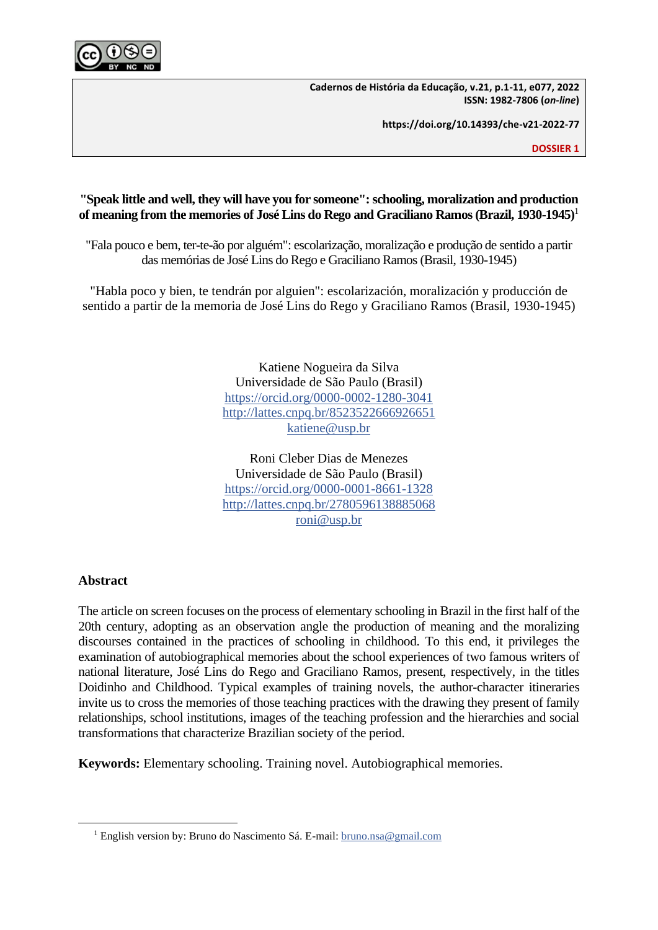

**Cadernos de História da Educação, v.21, p.1-11, e077, 2022 ISSN: 1982-7806 (***on-line***)**

**https://doi.org/10.14393/che-v21-2022-77**

**DOSSIER 1**

# **"Speak little and well, they will have you for someone": schooling, moralization and production of meaning from the memories of José Lins do Rego and Graciliano Ramos (Brazil, 1930-1945)**<sup>1</sup>

"Fala pouco e bem, ter-te-ão por alguém": escolarização, moralização e produção de sentido a partir das memórias de José Lins do Rego e Graciliano Ramos (Brasil, 1930-1945)

"Habla poco y bien, te tendrán por alguien": escolarización, moralización y producción de sentido a partir de la memoria de José Lins do Rego y Graciliano Ramos (Brasil, 1930-1945)

> Katiene Nogueira da Silva Universidade de São Paulo (Brasil) <https://orcid.org/0000-0002-1280-3041> <http://lattes.cnpq.br/8523522666926651> [katiene@usp.br](mailto:katiene@usp.br)

> Roni Cleber Dias de Menezes Universidade de São Paulo (Brasil) <https://orcid.org/0000-0001-8661-1328> <http://lattes.cnpq.br/2780596138885068> [roni@usp.br](mailto:roni@usp.br)

# **Abstract**

The article on screen focuses on the process of elementary schooling in Brazil in the first half of the 20th century, adopting as an observation angle the production of meaning and the moralizing discourses contained in the practices of schooling in childhood. To this end, it privileges the examination of autobiographical memories about the school experiences of two famous writers of national literature, José Lins do Rego and Graciliano Ramos, present, respectively, in the titles Doidinho and Childhood. Typical examples of training novels, the author-character itineraries invite us to cross the memories of those teaching practices with the drawing they present of family relationships, school institutions, images of the teaching profession and the hierarchies and social transformations that characterize Brazilian society of the period.

**Keywords:** Elementary schooling. Training novel. Autobiographical memories.

<sup>&</sup>lt;sup>1</sup> English version by: Bruno do Nascimento Sá. E-mail: [bruno.nsa@gmail.com](mailto:bruno.nsa@gmail.com)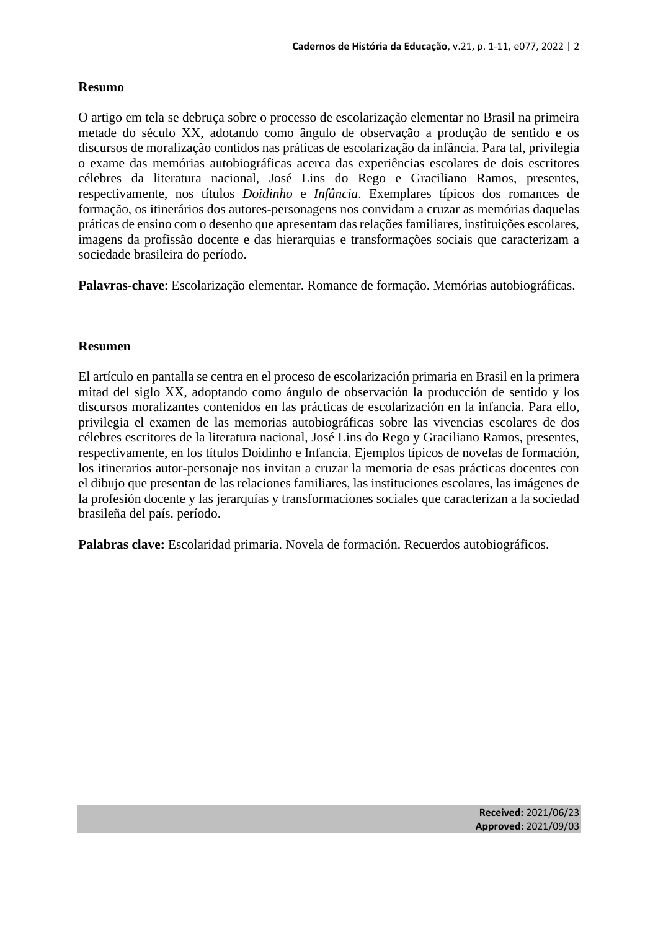# **Resumo**

O artigo em tela se debruça sobre o processo de escolarização elementar no Brasil na primeira metade do século XX, adotando como ângulo de observação a produção de sentido e os discursos de moralização contidos nas práticas de escolarização da infância. Para tal, privilegia o exame das memórias autobiográficas acerca das experiências escolares de dois escritores célebres da literatura nacional, José Lins do Rego e Graciliano Ramos, presentes, respectivamente, nos títulos *Doidinho* e *Infância*. Exemplares típicos dos romances de formação, os itinerários dos autores-personagens nos convidam a cruzar as memórias daquelas práticas de ensino com o desenho que apresentam das relações familiares, instituições escolares, imagens da profissão docente e das hierarquias e transformações sociais que caracterizam a sociedade brasileira do período.

**Palavras-chave**: Escolarização elementar. Romance de formação. Memórias autobiográficas.

# **Resumen**

El artículo en pantalla se centra en el proceso de escolarización primaria en Brasil en la primera mitad del siglo XX, adoptando como ángulo de observación la producción de sentido y los discursos moralizantes contenidos en las prácticas de escolarización en la infancia. Para ello, privilegia el examen de las memorias autobiográficas sobre las vivencias escolares de dos célebres escritores de la literatura nacional, José Lins do Rego y Graciliano Ramos, presentes, respectivamente, en los títulos Doidinho e Infancia. Ejemplos típicos de novelas de formación, los itinerarios autor-personaje nos invitan a cruzar la memoria de esas prácticas docentes con el dibujo que presentan de las relaciones familiares, las instituciones escolares, las imágenes de la profesión docente y las jerarquías y transformaciones sociales que caracterizan a la sociedad brasileña del país. período.

**Palabras clave:** Escolaridad primaria. Novela de formación. Recuerdos autobiográficos.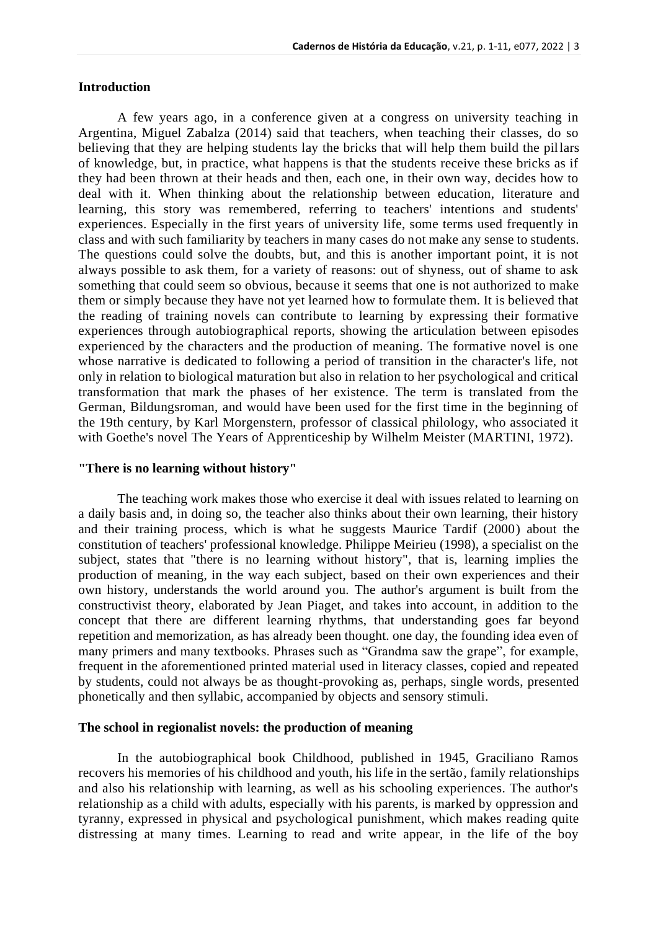### **Introduction**

A few years ago, in a conference given at a congress on university teaching in Argentina, Miguel Zabalza (2014) said that teachers, when teaching their classes, do so believing that they are helping students lay the bricks that will help them build the pillars of knowledge, but, in practice, what happens is that the students receive these bricks as if they had been thrown at their heads and then, each one, in their own way, decides how to deal with it. When thinking about the relationship between education, literature and learning, this story was remembered, referring to teachers' intentions and students' experiences. Especially in the first years of university life, some terms used frequently in class and with such familiarity by teachers in many cases do not make any sense to students. The questions could solve the doubts, but, and this is another important point, it is not always possible to ask them, for a variety of reasons: out of shyness, out of shame to ask something that could seem so obvious, because it seems that one is not authorized to make them or simply because they have not yet learned how to formulate them. It is believed that the reading of training novels can contribute to learning by expressing their formative experiences through autobiographical reports, showing the articulation between episodes experienced by the characters and the production of meaning. The formative novel is one whose narrative is dedicated to following a period of transition in the character's life, not only in relation to biological maturation but also in relation to her psychological and critical transformation that mark the phases of her existence. The term is translated from the German, Bildungsroman, and would have been used for the first time in the beginning of the 19th century, by Karl Morgenstern, professor of classical philology, who associated it with Goethe's novel The Years of Apprenticeship by Wilhelm Meister (MARTINI, 1972).

### **"There is no learning without history"**

The teaching work makes those who exercise it deal with issues related to learning on a daily basis and, in doing so, the teacher also thinks about their own learning, their history and their training process, which is what he suggests Maurice Tardif (2000) about the constitution of teachers' professional knowledge. Philippe Meirieu (1998), a specialist on the subject, states that "there is no learning without history", that is, learning implies the production of meaning, in the way each subject, based on their own experiences and their own history, understands the world around you. The author's argument is built from the constructivist theory, elaborated by Jean Piaget, and takes into account, in addition to the concept that there are different learning rhythms, that understanding goes far beyond repetition and memorization, as has already been thought. one day, the founding idea even of many primers and many textbooks. Phrases such as "Grandma saw the grape", for example, frequent in the aforementioned printed material used in literacy classes, copied and repeated by students, could not always be as thought-provoking as, perhaps, single words, presented phonetically and then syllabic, accompanied by objects and sensory stimuli.

#### **The school in regionalist novels: the production of meaning**

In the autobiographical book Childhood, published in 1945, Graciliano Ramos recovers his memories of his childhood and youth, his life in the sertão, family relationships and also his relationship with learning, as well as his schooling experiences. The author's relationship as a child with adults, especially with his parents, is marked by oppression and tyranny, expressed in physical and psychological punishment, which makes reading quite distressing at many times. Learning to read and write appear, in the life of the boy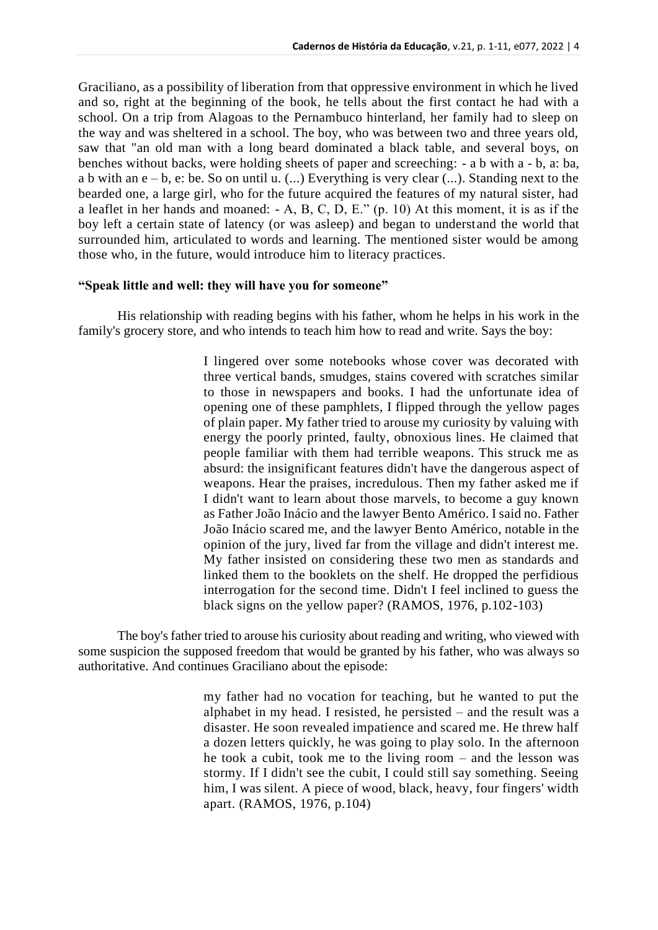Graciliano, as a possibility of liberation from that oppressive environment in which he lived and so, right at the beginning of the book, he tells about the first contact he had with a school. On a trip from Alagoas to the Pernambuco hinterland, her family had to sleep on the way and was sheltered in a school. The boy, who was between two and three years old, saw that "an old man with a long beard dominated a black table, and several boys, on benches without backs, were holding sheets of paper and screeching: - a b with a - b, a: ba, a b with an e – b, e: be. So on until u. (...) Everything is very clear (...). Standing next to the bearded one, a large girl, who for the future acquired the features of my natural sister, had a leaflet in her hands and moaned: - A, B, C, D, E." (p. 10) At this moment, it is as if the boy left a certain state of latency (or was asleep) and began to understand the world that surrounded him, articulated to words and learning. The mentioned sister would be among those who, in the future, would introduce him to literacy practices.

## **"Speak little and well: they will have you for someone"**

His relationship with reading begins with his father, whom he helps in his work in the family's grocery store, and who intends to teach him how to read and write. Says the boy:

> I lingered over some notebooks whose cover was decorated with three vertical bands, smudges, stains covered with scratches similar to those in newspapers and books. I had the unfortunate idea of opening one of these pamphlets, I flipped through the yellow pages of plain paper. My father tried to arouse my curiosity by valuing with energy the poorly printed, faulty, obnoxious lines. He claimed that people familiar with them had terrible weapons. This struck me as absurd: the insignificant features didn't have the dangerous aspect of weapons. Hear the praises, incredulous. Then my father asked me if I didn't want to learn about those marvels, to become a guy known as Father João Inácio and the lawyer Bento Américo. I said no. Father João Inácio scared me, and the lawyer Bento Américo, notable in the opinion of the jury, lived far from the village and didn't interest me. My father insisted on considering these two men as standards and linked them to the booklets on the shelf. He dropped the perfidious interrogation for the second time. Didn't I feel inclined to guess the black signs on the yellow paper? (RAMOS, 1976, p.102-103)

The boy's father tried to arouse his curiosity about reading and writing, who viewed with some suspicion the supposed freedom that would be granted by his father, who was always so authoritative. And continues Graciliano about the episode:

> my father had no vocation for teaching, but he wanted to put the alphabet in my head. I resisted, he persisted – and the result was a disaster. He soon revealed impatience and scared me. He threw half a dozen letters quickly, he was going to play solo. In the afternoon he took a cubit, took me to the living room – and the lesson was stormy. If I didn't see the cubit, I could still say something. Seeing him, I was silent. A piece of wood, black, heavy, four fingers' width apart. (RAMOS, 1976, p.104)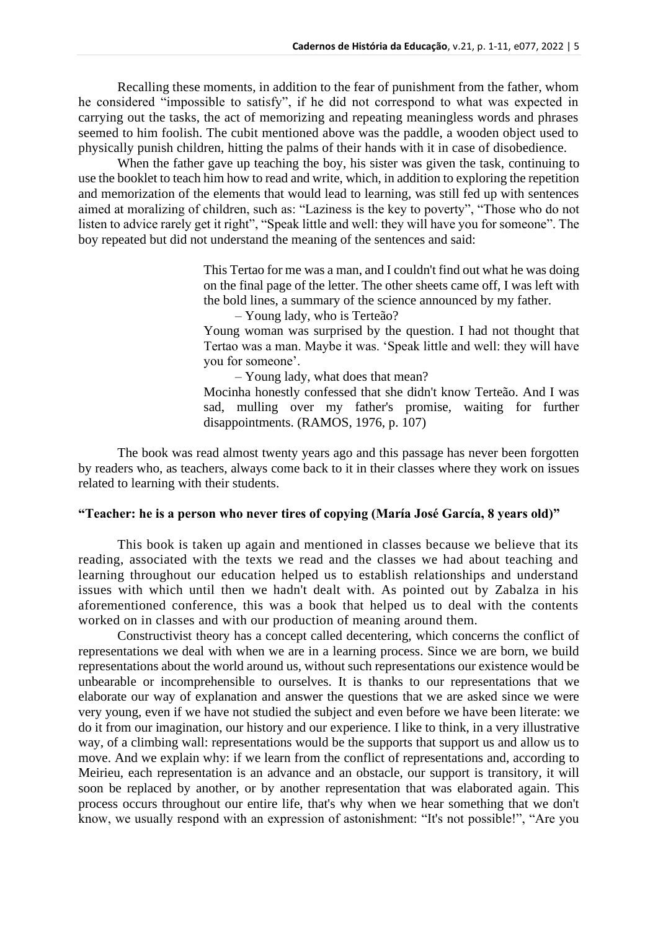Recalling these moments, in addition to the fear of punishment from the father, whom he considered "impossible to satisfy", if he did not correspond to what was expected in carrying out the tasks, the act of memorizing and repeating meaningless words and phrases seemed to him foolish. The cubit mentioned above was the paddle, a wooden object used to physically punish children, hitting the palms of their hands with it in case of disobedience.

When the father gave up teaching the boy, his sister was given the task, continuing to use the booklet to teach him how to read and write, which, in addition to exploring the repetition and memorization of the elements that would lead to learning, was still fed up with sentences aimed at moralizing of children, such as: "Laziness is the key to poverty", "Those who do not listen to advice rarely get it right", "Speak little and well: they will have you for someone". The boy repeated but did not understand the meaning of the sentences and said:

> This Tertao for me was a man, and I couldn't find out what he was doing on the final page of the letter. The other sheets came off, I was left with the bold lines, a summary of the science announced by my father.

– Young lady, who is Terteão?

Young woman was surprised by the question. I had not thought that Tertao was a man. Maybe it was. 'Speak little and well: they will have you for someone'.

– Young lady, what does that mean?

Mocinha honestly confessed that she didn't know Terteão. And I was sad, mulling over my father's promise, waiting for further disappointments. (RAMOS, 1976, p. 107)

The book was read almost twenty years ago and this passage has never been forgotten by readers who, as teachers, always come back to it in their classes where they work on issues related to learning with their students.

## **"Teacher: he is a person who never tires of copying (María José García, 8 years old)"**

This book is taken up again and mentioned in classes because we believe that its reading, associated with the texts we read and the classes we had about teaching and learning throughout our education helped us to establish relationships and understand issues with which until then we hadn't dealt with. As pointed out by Zabalza in his aforementioned conference, this was a book that helped us to deal with the contents worked on in classes and with our production of meaning around them.

Constructivist theory has a concept called decentering, which concerns the conflict of representations we deal with when we are in a learning process. Since we are born, we build representations about the world around us, without such representations our existence would be unbearable or incomprehensible to ourselves. It is thanks to our representations that we elaborate our way of explanation and answer the questions that we are asked since we were very young, even if we have not studied the subject and even before we have been literate: we do it from our imagination, our history and our experience. I like to think, in a very illustrative way, of a climbing wall: representations would be the supports that support us and allow us to move. And we explain why: if we learn from the conflict of representations and, according to Meirieu, each representation is an advance and an obstacle, our support is transitory, it will soon be replaced by another, or by another representation that was elaborated again. This process occurs throughout our entire life, that's why when we hear something that we don't know, we usually respond with an expression of astonishment: "It's not possible!", "Are you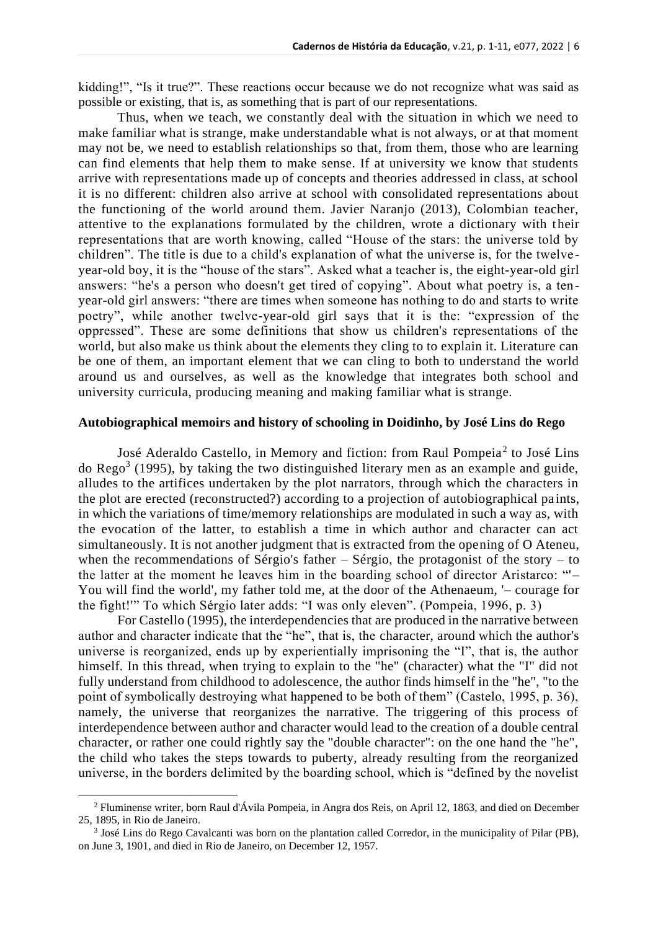kidding!", "Is it true?". These reactions occur because we do not recognize what was said as possible or existing, that is, as something that is part of our representations.

Thus, when we teach, we constantly deal with the situation in which we need to make familiar what is strange, make understandable what is not always, or at that moment may not be, we need to establish relationships so that, from them, those who are learning can find elements that help them to make sense. If at university we know that students arrive with representations made up of concepts and theories addressed in class, at school it is no different: children also arrive at school with consolidated representations about the functioning of the world around them. Javier Naranjo (2013), Colombian teacher, attentive to the explanations formulated by the children, wrote a dictionary with their representations that are worth knowing, called "House of the stars: the universe told by children". The title is due to a child's explanation of what the universe is, for the twelve year-old boy, it is the "house of the stars". Asked what a teacher is, the eight-year-old girl answers: "he's a person who doesn't get tired of copying". About what poetry is, a tenyear-old girl answers: "there are times when someone has nothing to do and starts to write poetry", while another twelve-year-old girl says that it is the: "expression of the oppressed". These are some definitions that show us children's representations of the world, but also make us think about the elements they cling to to explain it. Literature can be one of them, an important element that we can cling to both to understand the world around us and ourselves, as well as the knowledge that integrates both school and university curricula, producing meaning and making familiar what is strange.

### **Autobiographical memoirs and history of schooling in Doidinho, by José Lins do Rego**

José Aderaldo Castello, in Memory and fiction: from Raul Pompeia<sup>2</sup> to José Lins do Rego<sup>3</sup> (1995), by taking the two distinguished literary men as an example and guide, alludes to the artifices undertaken by the plot narrators, through which the characters in the plot are erected (reconstructed?) according to a projection of autobiographical paints, in which the variations of time/memory relationships are modulated in such a way as, with the evocation of the latter, to establish a time in which author and character can act simultaneously. It is not another judgment that is extracted from the opening of O Ateneu, when the recommendations of Sérgio's father  $-$  Sérgio, the protagonist of the story  $-$  to the latter at the moment he leaves him in the boarding school of director Aristarco: "'– You will find the world', my father told me, at the door of the Athenaeum, '– courage for the fight!'" To which Sérgio later adds: "I was only eleven". (Pompeia, 1996, p. 3)

For Castello (1995), the interdependencies that are produced in the narrative between author and character indicate that the "he", that is, the character, around which the author's universe is reorganized, ends up by experientially imprisoning the "I", that is, the author himself. In this thread, when trying to explain to the "he" (character) what the "I" did not fully understand from childhood to adolescence, the author finds himself in the "he", "to the point of symbolically destroying what happened to be both of them" (Castelo, 1995, p. 36), namely, the universe that reorganizes the narrative. The triggering of this process of interdependence between author and character would lead to the creation of a double central character, or rather one could rightly say the "double character": on the one hand the "he", the child who takes the steps towards to puberty, already resulting from the reorganized universe, in the borders delimited by the boarding school, which is "defined by the novelist

<sup>2</sup> Fluminense writer, born Raul d'Ávila Pompeia, in Angra dos Reis, on April 12, 1863, and died on December 25, 1895, in Rio de Janeiro.

<sup>3</sup> José Lins do Rego Cavalcanti was born on the plantation called Corredor, in the municipality of Pilar (PB), on June 3, 1901, and died in Rio de Janeiro, on December 12, 1957.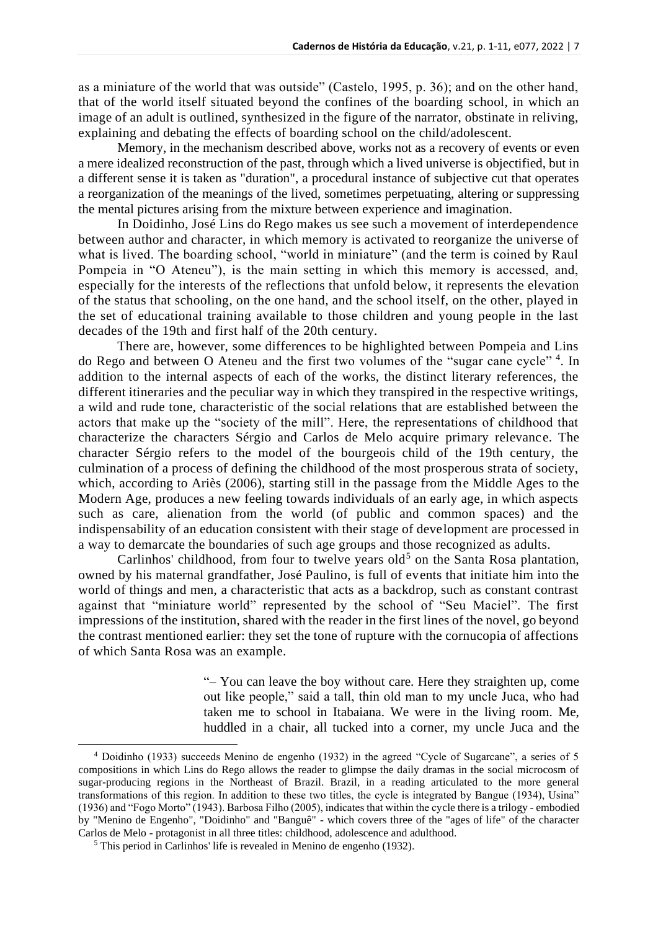as a miniature of the world that was outside" (Castelo, 1995, p. 36); and on the other hand, that of the world itself situated beyond the confines of the boarding school, in which an image of an adult is outlined, synthesized in the figure of the narrator, obstinate in reliving, explaining and debating the effects of boarding school on the child/adolescent.

Memory, in the mechanism described above, works not as a recovery of events or even a mere idealized reconstruction of the past, through which a lived universe is objectified, but in a different sense it is taken as "duration", a procedural instance of subjective cut that operates a reorganization of the meanings of the lived, sometimes perpetuating, altering or suppressing the mental pictures arising from the mixture between experience and imagination.

In Doidinho, José Lins do Rego makes us see such a movement of interdependence between author and character, in which memory is activated to reorganize the universe of what is lived. The boarding school, "world in miniature" (and the term is coined by Raul Pompeia in "O Ateneu"), is the main setting in which this memory is accessed, and, especially for the interests of the reflections that unfold below, it represents the elevation of the status that schooling, on the one hand, and the school itself, on the other, played in the set of educational training available to those children and young people in the last decades of the 19th and first half of the 20th century.

There are, however, some differences to be highlighted between Pompeia and Lins do Rego and between O Ateneu and the first two volumes of the "sugar cane cycle"<sup>4</sup>. In addition to the internal aspects of each of the works, the distinct literary references, the different itineraries and the peculiar way in which they transpired in the respective writings, a wild and rude tone, characteristic of the social relations that are established between the actors that make up the "society of the mill". Here, the representations of childhood that characterize the characters Sérgio and Carlos de Melo acquire primary relevance. The character Sérgio refers to the model of the bourgeois child of the 19th century, the culmination of a process of defining the childhood of the most prosperous strata of society, which, according to Ariès (2006), starting still in the passage from the Middle Ages to the Modern Age, produces a new feeling towards individuals of an early age, in which aspects such as care, alienation from the world (of public and common spaces) and the indispensability of an education consistent with their stage of development are processed in a way to demarcate the boundaries of such age groups and those recognized as adults.

Carlinhos' childhood, from four to twelve years old<sup>5</sup> on the Santa Rosa plantation, owned by his maternal grandfather, José Paulino, is full of events that initiate him into the world of things and men, a characteristic that acts as a backdrop, such as constant contrast against that "miniature world" represented by the school of "Seu Maciel". The first impressions of the institution, shared with the reader in the first lines of the novel, go beyond the contrast mentioned earlier: they set the tone of rupture with the cornucopia of affections of which Santa Rosa was an example.

> "– You can leave the boy without care. Here they straighten up, come out like people," said a tall, thin old man to my uncle Juca, who had taken me to school in Itabaiana. We were in the living room. Me, huddled in a chair, all tucked into a corner, my uncle Juca and the

<sup>4</sup> Doidinho (1933) succeeds Menino de engenho (1932) in the agreed "Cycle of Sugarcane", a series of 5 compositions in which Lins do Rego allows the reader to glimpse the daily dramas in the social microcosm of sugar-producing regions in the Northeast of Brazil. Brazil, in a reading articulated to the more general transformations of this region. In addition to these two titles, the cycle is integrated by Bangue (1934), Usina" (1936) and "Fogo Morto" (1943). Barbosa Filho (2005), indicates that within the cycle there is a trilogy - embodied by "Menino de Engenho", "Doidinho" and "Banguê" - which covers three of the "ages of life" of the character Carlos de Melo - protagonist in all three titles: childhood, adolescence and adulthood.

<sup>5</sup> This period in Carlinhos' life is revealed in Menino de engenho (1932).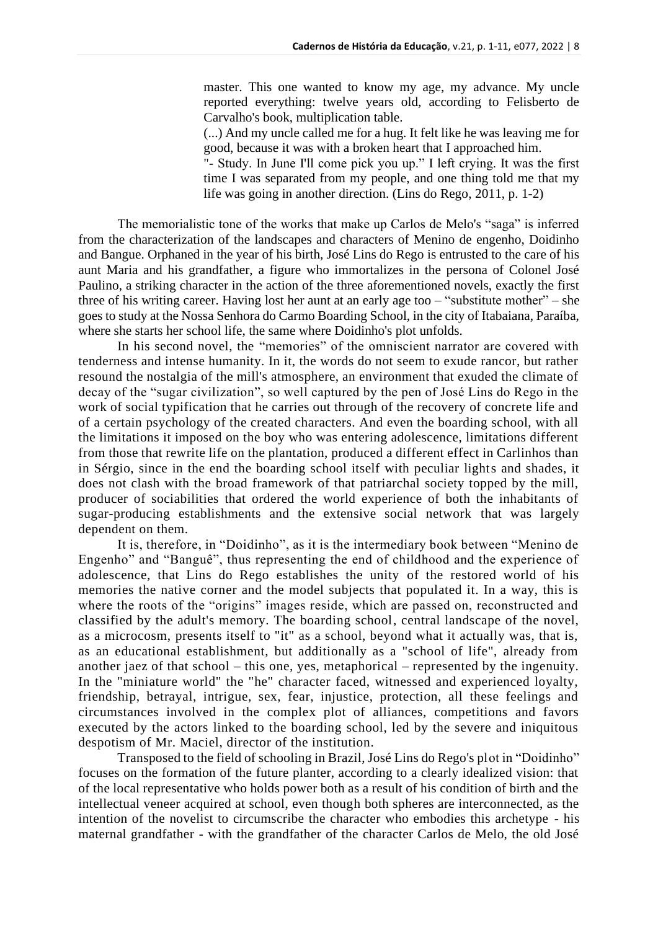master. This one wanted to know my age, my advance. My uncle reported everything: twelve years old, according to Felisberto de Carvalho's book, multiplication table.

(...) And my uncle called me for a hug. It felt like he was leaving me for good, because it was with a broken heart that I approached him.

"- Study. In June I'll come pick you up." I left crying. It was the first time I was separated from my people, and one thing told me that my life was going in another direction. (Lins do Rego, 2011, p. 1-2)

The memorialistic tone of the works that make up Carlos de Melo's "saga" is inferred from the characterization of the landscapes and characters of Menino de engenho, Doidinho and Bangue. Orphaned in the year of his birth, José Lins do Rego is entrusted to the care of his aunt Maria and his grandfather, a figure who immortalizes in the persona of Colonel José Paulino, a striking character in the action of the three aforementioned novels, exactly the first three of his writing career. Having lost her aunt at an early age too – "substitute mother" – she goes to study at the Nossa Senhora do Carmo Boarding School, in the city of Itabaiana, Paraíba, where she starts her school life, the same where Doidinho's plot unfolds.

In his second novel, the "memories" of the omniscient narrator are covered with tenderness and intense humanity. In it, the words do not seem to exude rancor, but rather resound the nostalgia of the mill's atmosphere, an environment that exuded the climate of decay of the "sugar civilization", so well captured by the pen of José Lins do Rego in the work of social typification that he carries out through of the recovery of concrete life and of a certain psychology of the created characters. And even the boarding school, with all the limitations it imposed on the boy who was entering adolescence, limitations different from those that rewrite life on the plantation, produced a different effect in Carlinhos than in Sérgio, since in the end the boarding school itself with peculiar lights and shades, it does not clash with the broad framework of that patriarchal society topped by the mill, producer of sociabilities that ordered the world experience of both the inhabitants of sugar-producing establishments and the extensive social network that was largely dependent on them.

It is, therefore, in "Doidinho", as it is the intermediary book between "Menino de Engenho" and "Banguê", thus representing the end of childhood and the experience of adolescence, that Lins do Rego establishes the unity of the restored world of his memories the native corner and the model subjects that populated it. In a way, this is where the roots of the "origins" images reside, which are passed on, reconstructed and classified by the adult's memory. The boarding school, central landscape of the novel, as a microcosm, presents itself to "it" as a school, beyond what it actually was, that is, as an educational establishment, but additionally as a "school of life", already from another jaez of that school – this one, yes, metaphorical – represented by the ingenuity. In the "miniature world" the "he" character faced, witnessed and experienced loyalty, friendship, betrayal, intrigue, sex, fear, injustice, protection, all these feelings and circumstances involved in the complex plot of alliances, competitions and favors executed by the actors linked to the boarding school, led by the severe and iniquitous despotism of Mr. Maciel, director of the institution.

Transposed to the field of schooling in Brazil, José Lins do Rego's plot in "Doidinho" focuses on the formation of the future planter, according to a clearly idealized vision: that of the local representative who holds power both as a result of his condition of birth and the intellectual veneer acquired at school, even though both spheres are interconnected, as the intention of the novelist to circumscribe the character who embodies this archetype - his maternal grandfather - with the grandfather of the character Carlos de Melo, the old José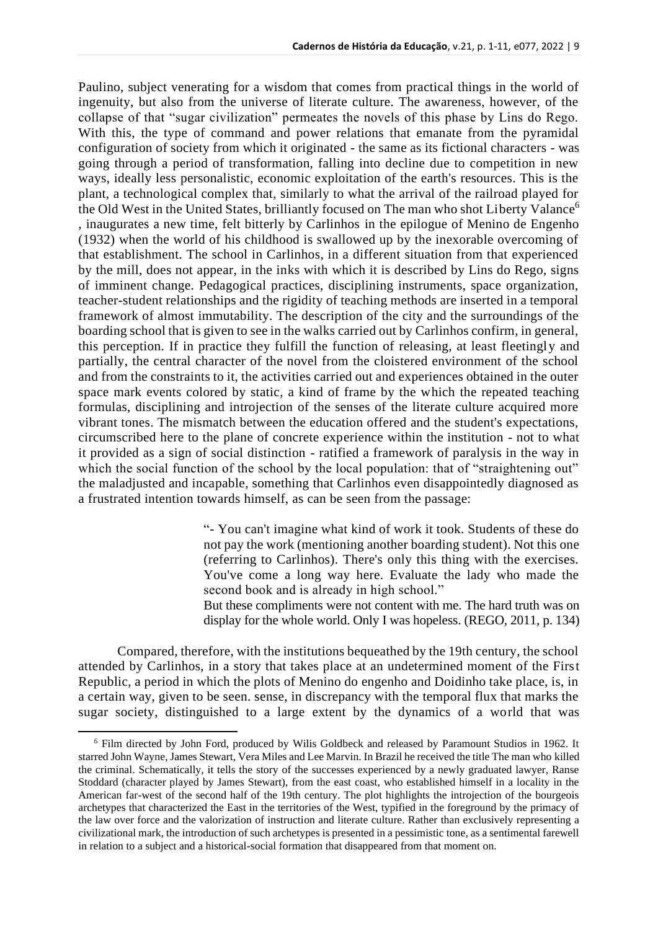Paulino, subject venerating for a wisdom that comes from practical things in the world of ingenuity, but also from the universe of literate culture. The awareness, however, of the collapse of that "sugar civilization" permeates the novels of this phase by Lins do Rego. With this, the type of command and power relations that emanate from the pyramidal configuration of society from which it originated - the same as its fictional characters - was going through a period of transformation, falling into decline due to competition in new ways, ideally less personalistic, economic exploitation of the earth's resources. This is the plant, a technological complex that, similarly to what the arrival of the railroad played for the Old West in the United States, brilliantly focused on The man who shot Liberty Valance<sup>6</sup> , inaugurates a new time, felt bitterly by Carlinhos in the epilogue of Menino de Engenho (1932) when the world of his childhood is swallowed up by the inexorable overcoming of that establishment. The school in Carlinhos, in a different situation from that experienced by the mill, does not appear, in the inks with which it is described by Lins do Rego, signs of imminent change. Pedagogical practices, disciplining instruments, space organization, teacher-student relationships and the rigidity of teaching methods are inserted in a temporal framework of almost immutability. The description of the city and the surroundings of the boarding school that is given to see in the walks carried out by Carlinhos confirm, in general, this perception. If in practice they fulfill the function of releasing, at least fleetingly and partially, the central character of the novel from the cloistered environment of the school and from the constraints to it, the activities carried out and experiences obtained in the outer space mark events colored by static, a kind of frame by the which the repeated teaching formulas, disciplining and introjection of the senses of the literate culture acquired more vibrant tones. The mismatch between the education offered and the student's expectations, circumscribed here to the plane of concrete experience within the institution - not to what it provided as a sign of social distinction - ratified a framework of paralysis in the way in which the social function of the school by the local population: that of "straightening out" the maladjusted and incapable, something that Carlinhos even disappointedly diagnosed as a frustrated intention towards himself, as can be seen from the passage:

> "- You can't imagine what kind of work it took. Students of these do not pay the work (mentioning another boarding student). Not this one (referring to Carlinhos). There's only this thing with the exercises. You've come a long way here. Evaluate the lady who made the second book and is already in high school."

> But these compliments were not content with me. The hard truth was on display for the whole world. Only I was hopeless. (REGO, 2011, p. 134)

Compared, therefore, with the institutions bequeathed by the 19th century, the school attended by Carlinhos, in a story that takes place at an undetermined moment of the First Republic, a period in which the plots of Menino do engenho and Doidinho take place, is, in a certain way, given to be seen. sense, in discrepancy with the temporal flux that marks the sugar society, distinguished to a large extent by the dynamics of a world that was

<sup>6</sup> Film directed by John Ford, produced by Wilis Goldbeck and released by Paramount Studios in 1962. It starred John Wayne, James Stewart, Vera Miles and Lee Marvin. In Brazil he received the title The man who killed the criminal. Schematically, it tells the story of the successes experienced by a newly graduated lawyer, Ranse Stoddard (character played by James Stewart), from the east coast, who established himself in a locality in the American far-west of the second half of the 19th century. The plot highlights the introjection of the bourgeois archetypes that characterized the East in the territories of the West, typified in the foreground by the primacy of the law over force and the valorization of instruction and literate culture. Rather than exclusively representing a civilizational mark, the introduction of such archetypes is presented in a pessimistic tone, as a sentimental farewell in relation to a subject and a historical-social formation that disappeared from that moment on.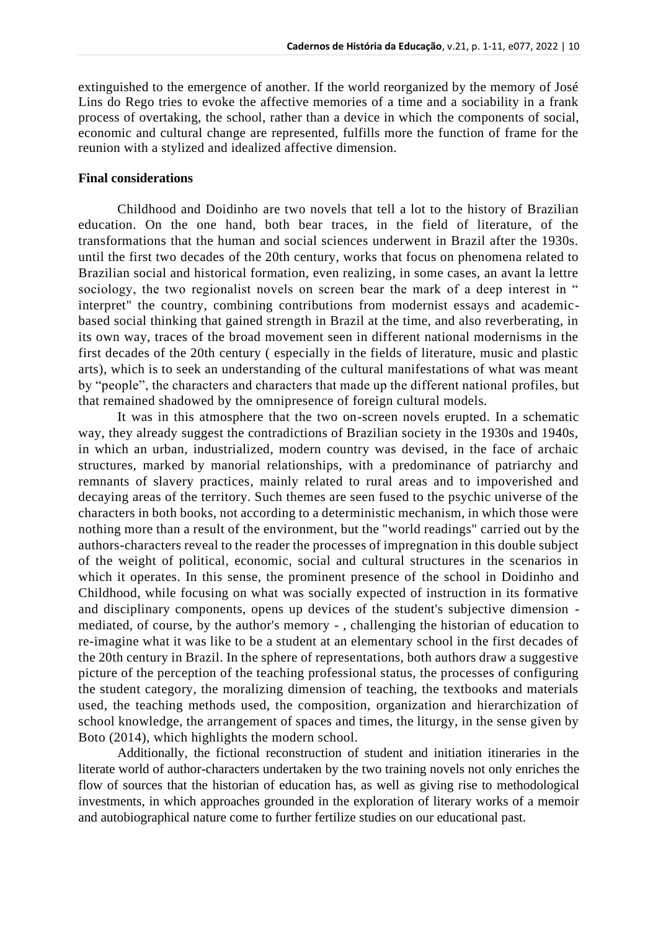extinguished to the emergence of another. If the world reorganized by the memory of José Lins do Rego tries to evoke the affective memories of a time and a sociability in a frank process of overtaking, the school, rather than a device in which the components of social, economic and cultural change are represented, fulfills more the function of frame for the reunion with a stylized and idealized affective dimension.

## **Final considerations**

Childhood and Doidinho are two novels that tell a lot to the history of Brazilian education. On the one hand, both bear traces, in the field of literature, of the transformations that the human and social sciences underwent in Brazil after the 1930s. until the first two decades of the 20th century, works that focus on phenomena related to Brazilian social and historical formation, even realizing, in some cases, an avant la lettre sociology, the two regionalist novels on screen bear the mark of a deep interest in " interpret" the country, combining contributions from modernist essays and academicbased social thinking that gained strength in Brazil at the time, and also reverberating, in its own way, traces of the broad movement seen in different national modernisms in the first decades of the 20th century ( especially in the fields of literature, music and plastic arts), which is to seek an understanding of the cultural manifestations of what was meant by "people", the characters and characters that made up the different national profiles, but that remained shadowed by the omnipresence of foreign cultural models.

It was in this atmosphere that the two on-screen novels erupted. In a schematic way, they already suggest the contradictions of Brazilian society in the 1930s and 1940s, in which an urban, industrialized, modern country was devised, in the face of archaic structures, marked by manorial relationships, with a predominance of patriarchy and remnants of slavery practices, mainly related to rural areas and to impoverished and decaying areas of the territory. Such themes are seen fused to the psychic universe of the characters in both books, not according to a deterministic mechanism, in which those were nothing more than a result of the environment, but the "world readings" carried out by the authors-characters reveal to the reader the processes of impregnation in this double subject of the weight of political, economic, social and cultural structures in the scenarios in which it operates. In this sense, the prominent presence of the school in Doidinho and Childhood, while focusing on what was socially expected of instruction in its formative and disciplinary components, opens up devices of the student's subjective dimension mediated, of course, by the author's memory - , challenging the historian of education to re-imagine what it was like to be a student at an elementary school in the first decades of the 20th century in Brazil. In the sphere of representations, both authors draw a suggestive picture of the perception of the teaching professional status, the processes of configuring the student category, the moralizing dimension of teaching, the textbooks and materials used, the teaching methods used, the composition, organization and hierarchization of school knowledge, the arrangement of spaces and times, the liturgy, in the sense given by Boto (2014), which highlights the modern school.

Additionally, the fictional reconstruction of student and initiation itineraries in the literate world of author-characters undertaken by the two training novels not only enriches the flow of sources that the historian of education has, as well as giving rise to methodological investments, in which approaches grounded in the exploration of literary works of a memoir and autobiographical nature come to further fertilize studies on our educational past.